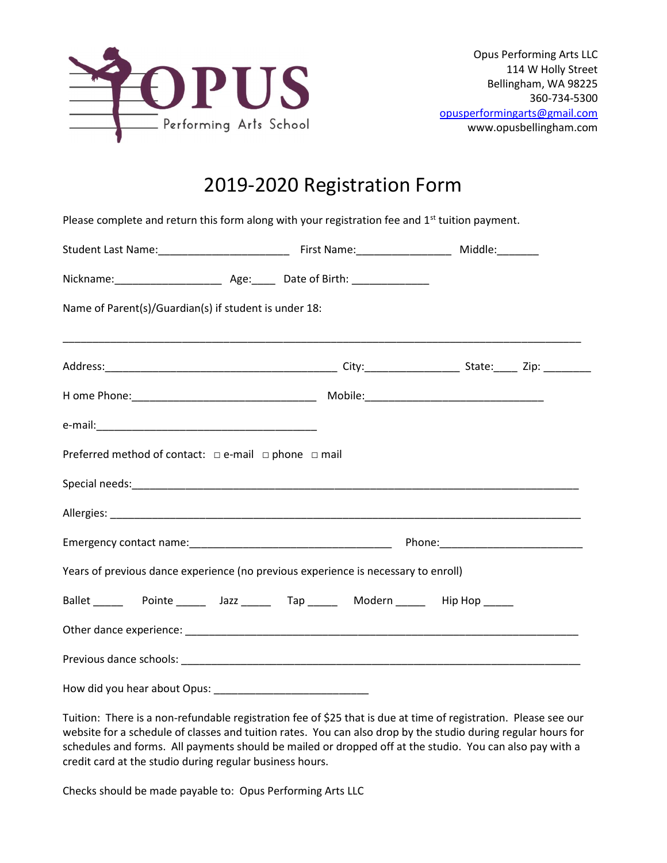

## 2019-2020 Registration Form

Please complete and return this form along with your registration fee and  $1<sup>st</sup>$  tuition payment.

| Name of Parent(s)/Guardian(s) if student is under 18:               |                                                                                                                                                                                                                                |  |  |  |  |
|---------------------------------------------------------------------|--------------------------------------------------------------------------------------------------------------------------------------------------------------------------------------------------------------------------------|--|--|--|--|
|                                                                     |                                                                                                                                                                                                                                |  |  |  |  |
|                                                                     |                                                                                                                                                                                                                                |  |  |  |  |
|                                                                     |                                                                                                                                                                                                                                |  |  |  |  |
| Preferred method of contact: $\Box$ e-mail $\Box$ phone $\Box$ mail |                                                                                                                                                                                                                                |  |  |  |  |
|                                                                     |                                                                                                                                                                                                                                |  |  |  |  |
|                                                                     |                                                                                                                                                                                                                                |  |  |  |  |
|                                                                     |                                                                                                                                                                                                                                |  |  |  |  |
|                                                                     | Years of previous dance experience (no previous experience is necessary to enroll)                                                                                                                                             |  |  |  |  |
|                                                                     |                                                                                                                                                                                                                                |  |  |  |  |
|                                                                     | Other dance experience: example and a series of the series of the series of the series of the series of the series of the series of the series of the series of the series of the series of the series of the series of the se |  |  |  |  |
|                                                                     |                                                                                                                                                                                                                                |  |  |  |  |
|                                                                     |                                                                                                                                                                                                                                |  |  |  |  |

Tuition: There is a non-refundable registration fee of \$25 that is due at time of registration. Please see our website for a schedule of classes and tuition rates. You can also drop by the studio during regular hours for schedules and forms. All payments should be mailed or dropped off at the studio. You can also pay with a credit card at the studio during regular business hours.

Checks should be made payable to: Opus Performing Arts LLC